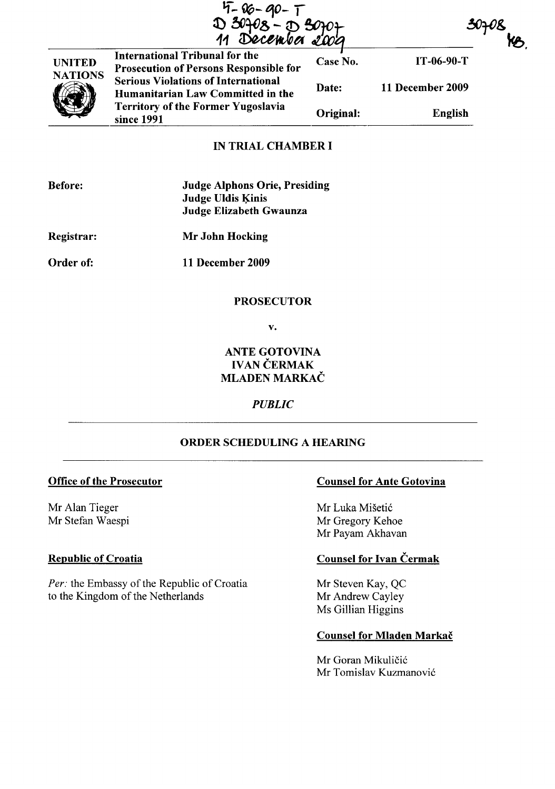|  | $4 - 06 - 90 - 1$                     |  |
|--|---------------------------------------|--|
|  |                                       |  |
|  | D 30708 - D 30707<br>11 December 2009 |  |

 $\sim$ 



International Tribunal for the  $\overline{C}$  Case No. Prosecution of Persons Responsible for  $\frac{3v_{\text{P}}v_{\text{S}}}{\sqrt{11-06-90-1}}$ Serious Violations of International Humanitarian Law Committed in the Territory of the Former Yugoslavia since 1991 Date: 11 December 2009 Original: English

# IN TRIAL CHAMBER I

| <b>Before:</b> | <b>Judge Alphons Orie, Presiding</b><br><b>Judge Uldis Kinis</b><br>Judge Elizabeth Gwaunza |
|----------------|---------------------------------------------------------------------------------------------|
| Registrar:     | Mr John Hocking                                                                             |
| Order of:      | 11 December 2009                                                                            |

### PROSECUTOR

v.

# ANTE GOTOVINA **IVAN ČERMAK** MLADEN MARKAČ

## *PUBLIC*

## ORDER SCHEDULING A HEARING

#### Office of the Prosecutor

Mr Alan Tieger Mr Stefan Waespi

## **Republic of Croatia**

Per: the Embassy of the Republic of Croatia to the Kingdom of the Netherlands

#### Counsel for Ante Gotovina

Mr Luka Mišetić Mr Gregory Kehoe Mr Payam Akhavan

# Counsel for Ivan Čermak

Mr Steven Kay, QC Mr Andrew Cayley Ms Gillian Higgins

#### Counsel for Mladen Markac

Mr Goran Mikuličić Mr Tomislav Kuzmanović